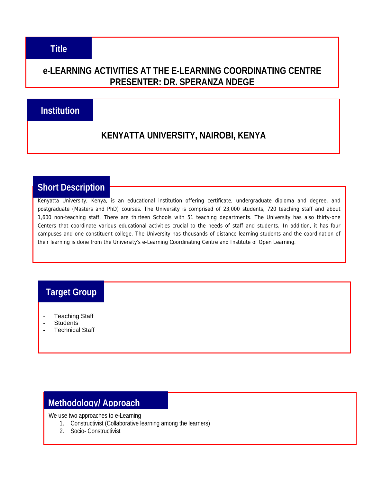#### **e-LEARNING ACTIVITIES AT THE E-LEARNING COORDINATING CENTRE PRESENTER: DR. SPERANZA NDEGE**

### **Institution**

## **KENYATTA UNIVERSITY, NAIROBI, KENYA**

### **Short Description**

Kenyatta University, Kenya, is an educational institution offering certificate, undergraduate diploma and degree, and postgraduate (Masters and PhD) courses. The University is comprised of 23,000 students, 720 teaching staff and about 1,600 non-teaching staff. There are thirteen Schools with 51 teaching departments. The University has also thirty-one Centers that coordinate various educational activities crucial to the needs of staff and students. In addition, it has four campuses and one constituent college. The University has thousands of distance learning students and the coordination of their learning is done from the University's e-Learning Coordinating Centre and Institute of Open Learning.

## **Target Group**

- **Teaching Staff**
- **Students**
- **Technical Staff**

### **Methodology/ Approach**

We use two approaches to e-Learning

- 1. Constructivist (Collaborative learning among the learners)
- 2. Socio- Constructivist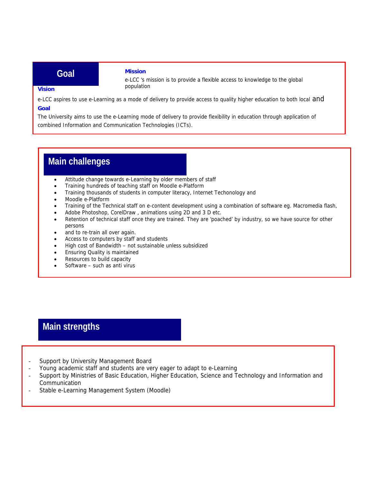#### **Goal**

#### **Mission**

e-LCC 's mission is to provide a flexible access to knowledge to the global population

#### **Vision**

e-LCC aspires to use e-Learning as a mode of delivery to provide access to quality higher education to both local and **Goal** 

The University aims to use the e-Learning mode of delivery to provide flexibility in education through application of combined Information and Communication Technologies (ICTs).

## **Main challenges**

- Attitude change towards e-Learning by older members of staff
- Training hundreds of teaching staff on Moodle e-Platform
- Training thousands of students in computer literacy, Internet Techonology and
- Moodle e-Platform
- Training of the Technical staff on e-content development using a combination of software eg. Macromedia flash,
- Adobe Photoshop, CorelDraw , animations using 2D and 3 D etc.
- Retention of technical staff once they are trained. They are 'poached' by industry, so we have source for other persons
- and to re-train all over again.
- Access to computers by staff and students
- High cost of Bandwidth not sustainable unless subsidized
- Ensuring Quality is maintained
- Resources to build capacity
- Software such as anti virus

# **Main strengths**

- Support by University Management Board
- Young academic staff and students are very eager to adapt to e-Learning
- Support by Ministries of Basic Education, Higher Education, Science and Technology and Information and Communication
- Stable e-Learning Management System (Moodle) -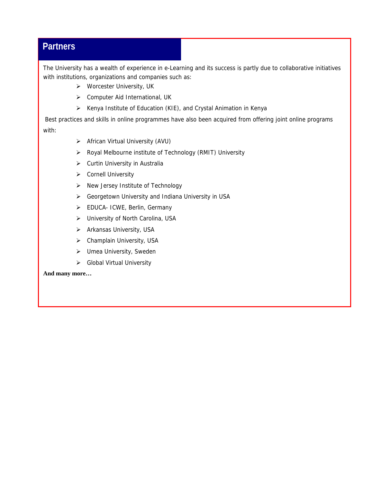### **Partners**

The University has a wealth of experience in e-Learning and its success is partly due to collaborative initiatives with institutions, organizations and companies such as:

- ¾ Worcester University, UK
- ¾ Computer Aid International, UK
- ¾ Kenya Institute of Education (KIE), and Crystal Animation in Kenya

 Best practices and skills in online programmes have also been acquired from offering joint online programs with:

- ¾ African Virtual University (AVU)
- ¾ Royal Melbourne institute of Technology (RMIT) University
- $\triangleright$  Curtin University in Australia
- ¾ Cornell University
- $\triangleright$  New Jersey Institute of Technology
- ¾ Georgetown University and Indiana University in USA
- ¾ EDUCA- ICWE, Berlin, Germany
- ¾ University of North Carolina, USA
- $\triangleright$  Arkansas University, USA
- $\triangleright$  Champlain University, USA
- $\triangleright$  Umea University, Sweden
- ¾ Global Virtual University

#### **And many more…**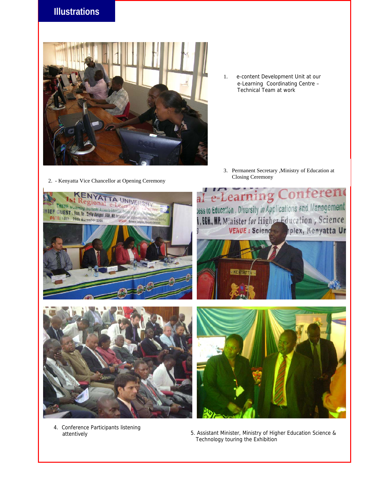### **Illustrations**



1. e-content Development Unit at our e-Learning Coordinating Centre – Technical Team at work

3. Permanent Secretary ,Ministry of Education at Closing Ceremony 2. - Kenyatta Vice Chancellor at Opening Ceremony





4. Conference Participants listening



 attentively 5. Assistant Minister, Ministry of Higher Education Science & Technology touring the Exhibition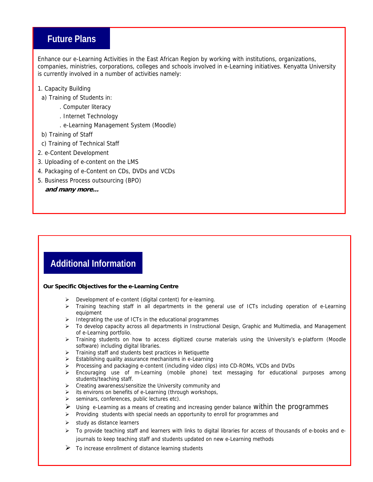#### **Future Plans**

Enhance our e-Learning Activities in the East African Region by working with institutions, organizations, companies, ministries, corporations, colleges and schools involved in e-Learning initiatives. Kenyatta University is currently involved in a number of activities namely:

- 1. Capacity Building
- a) Training of Students in:
	- . Computer literacy
	- . Internet Technology
	- . e-Learning Management System (Moodle)
- b) Training of Staff
- c) Training of Technical Staff
- 2. e-Content Development
- 3. Uploading of e-content on the LMS
- 4. Packaging of e-Content on CDs, DVDs and VCDs
- 5. Business Process outsourcing (BPO)

#### **and many more...**

# **Additional Information**

#### **Our Specific Objectives for the e-Learning Centre**

- ¾ Development of e-content (digital content) for e-learning.
- ¾ Training teaching staff in all departments in the general use of ICTs including operation of e-Learning equipment
- $\triangleright$  Integrating the use of ICTs in the educational programmes
- ¾ To develop capacity across all departments in Instructional Design, Graphic and Multimedia, and Management of e-Learning portfolio.
- ¾ Training students on how to access digitized course materials using the University's e-platform (Moodle software) including digital libraries.
- $\triangleright$  Training staff and students best practices in Netiquette
- ¾ Establishing quality assurance mechanisms in e-Learning
- ¾ Processing and packaging e-content (including video clips) into CD-ROMs, VCDs and DVDs
- ¾ Encouraging use of m-Learning (mobile phone) text messaging for educational purposes among students/teaching staff.
- ¾ Creating awareness/sensitize the University community and
- $\triangleright$  its environs on benefits of e-Learning (through workshops,
- $\triangleright$  seminars, conferences, public lectures etc).
- $\triangleright$  Using e-Learning as a means of creating and increasing gender balance Within the programmes
- ¾ Providing students with special needs an opportunity to enroll for programmes and
- $\triangleright$  study as distance learners
- ¾ To provide teaching staff and learners with links to digital libraries for access of thousands of e-books and ejournals to keep teaching staff and students updated on new e-Learning methods
- $\triangleright$  To increase enrollment of distance learning students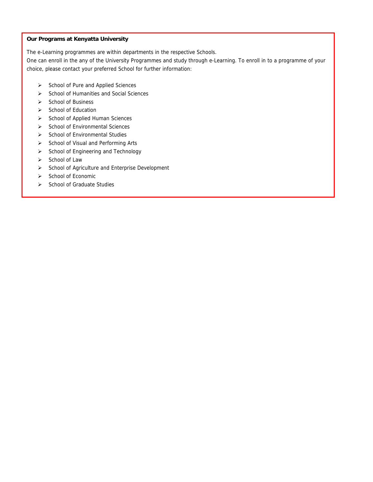#### **Our Programs at Kenyatta University**

The e-Learning programmes are within departments in the respective Schools.

One can enroll in the any of the University Programmes and study through e-Learning. To enroll in to a programme of your choice, please contact your preferred School for further information:

- School of Pure and Applied Sciences
- School of Humanities and Social Sciences
- $\triangleright$  School of Business
- School of Education
- School of Applied Human Sciences
- School of Environmental Sciences
- $\triangleright$  School of Environmental Studies
- School of Visual and Performing Arts
- School of Engineering and Technology
- School of Law
- School of Agriculture and Enterprise Development
- School of Economic
- School of Graduate Studies